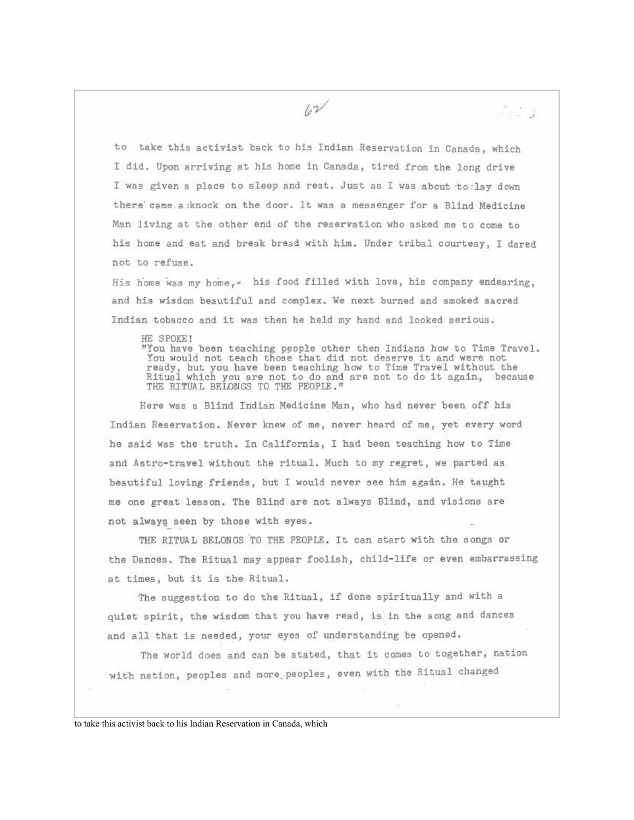تی کہ دک

to take this activist back to his Indian Reservation in Canada, which I did. Upon arriving at his home in Canada, tired from the long drive I was given a place to sleep and rest. Just as I was about to: lay down there came a knock on the door. It was a messenger for a Blind Medicine Man living at the other end of the reservation who asked me to come to his home and eat and break bread with him. Under tribal courtesy, I dared not to refuse.

 $\sqrt{v^2}$ 

His home was my home. A his food filled with love, his company endearing. and his wisdom beautiful and complex. We next burned and smoked sacred Indian tobacco and it was then he held my hand and looked serious.

HE SPOKE!

"You have been teaching people other then Indians how to Time Travel. You would not teach those that did not deserve it and were not ready, but you have been teaching how to Time Travel without the<br>Ritual which you are not to do and are not to do it again, because<br>THE RITUAL BELONGS TO THE PEOPLE."

Here was a Blind Indian Medicine Man, who had never been off his Indian Reservation. Never knew of me, never heard of me, yet every word he said was the truth. In California, I had been teaching how to Time and Astro-travel without the ritual. Much to my regret, we parted as beautiful loving friends, but I would never see him again. He taught me one great lesson. The Blind are not always Blind, and visions are not always seen by those with eyes.

THE RITUAL BELONGS TO THE PEOPLE. It can start with the songs or the Dances. The Ritual may appear foolish, child-life or even embarrassing at times, but it is the Ritual.

The suggestion to do the Ritual, if done spiritually and with a quiet spirit, the wisdom that you have read, is in the song and dances and all that is needed, your eyes of understanding be opened.

The world does and can be stated, that it comes to together, nation with nation, peoples and more peoples, even with the Ritual changed

to take this activist back to his Indian Reservation in Canada, which